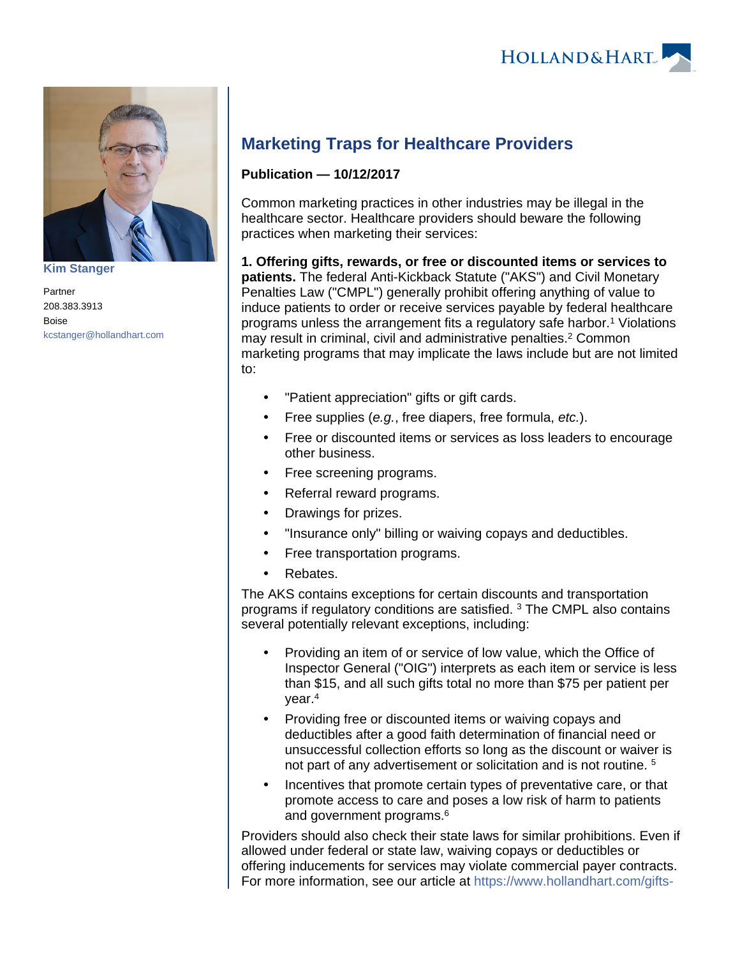

**[Kim Stanger](https://www.hollandhart.com/15954)**

Partner 208.383.3913 Boise [kcstanger@hollandhart.com](mailto:kcstanger@hollandhart.com)

## **Marketing Traps for Healthcare Providers**

## **Publication — 10/12/2017**

Common marketing practices in other industries may be illegal in the healthcare sector. Healthcare providers should beware the following practices when marketing their services:

**1. Offering gifts, rewards, or free or discounted items or services to patients.** The federal Anti-Kickback Statute ("AKS") and Civil Monetary Penalties Law ("CMPL") generally prohibit offering anything of value to induce patients to order or receive services payable by federal healthcare programs unless the arrangement fits a regulatory safe harbor.<sup>1</sup> Violations may result in criminal, civil and administrative penalties.<sup>2</sup> Common marketing programs that may implicate the laws include but are not limited to:

- "Patient appreciation" gifts or gift cards.
- Free supplies (e.g., free diapers, free formula,  $etc.$ ).
- Free or discounted items or services as loss leaders to encourage other business.
- Free screening programs.
- Referral reward programs.
- Drawings for prizes.
- "Insurance only" billing or waiving copays and deductibles.
- Free transportation programs.
- Rebates.

The AKS contains exceptions for certain discounts and transportation programs if regulatory conditions are satisfied. <sup>3</sup> The CMPL also contains several potentially relevant exceptions, including:

- Providing an item of or service of low value, which the Office of Inspector General ("OIG") interprets as each item or service is less than \$15, and all such gifts total no more than \$75 per patient per year.<sup>4</sup>
- Providing free or discounted items or waiving copays and deductibles after a good faith determination of financial need or unsuccessful collection efforts so long as the discount or waiver is not part of any advertisement or solicitation and is not routine. <sup>5</sup>
- Incentives that promote certain types of preventative care, or that promote access to care and poses a low risk of harm to patients and government programs.<sup>6</sup>

Providers should also check their state laws for similar prohibitions. Even if allowed under federal or state law, waiving copays or deductibles or offering inducements for services may violate commercial payer contracts. For more information, see our article at [https://www.hollandhart.com/gifts-](https://www.hollandhart.com/gifts-to-referral-sources-and-patients)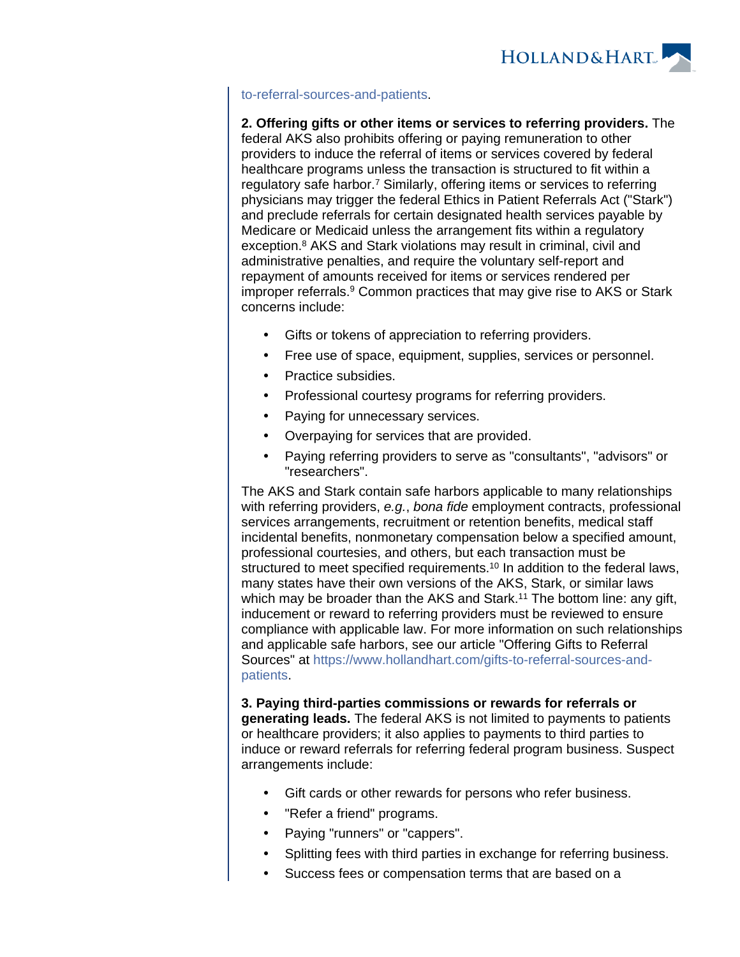

## [to-referral-sources-and-patients.](https://www.hollandhart.com/gifts-to-referral-sources-and-patients)

**2. Offering gifts or other items or services to referring providers.** The federal AKS also prohibits offering or paying remuneration to other providers to induce the referral of items or services covered by federal healthcare programs unless the transaction is structured to fit within a regulatory safe harbor.<sup>7</sup> Similarly, offering items or services to referring physicians may trigger the federal Ethics in Patient Referrals Act ("Stark") and preclude referrals for certain designated health services payable by Medicare or Medicaid unless the arrangement fits within a regulatory exception.<sup>8</sup> AKS and Stark violations may result in criminal, civil and administrative penalties, and require the voluntary self-report and repayment of amounts received for items or services rendered per improper referrals.<sup>9</sup> Common practices that may give rise to AKS or Stark concerns include:

- Gifts or tokens of appreciation to referring providers.
- Free use of space, equipment, supplies, services or personnel.
- Practice subsidies.
- Professional courtesy programs for referring providers.
- Paying for unnecessary services.
- Overpaying for services that are provided.
- Paying referring providers to serve as "consultants", "advisors" or "researchers".

The AKS and Stark contain safe harbors applicable to many relationships with referring providers, e.g., bona fide employment contracts, professional services arrangements, recruitment or retention benefits, medical staff incidental benefits, nonmonetary compensation below a specified amount, professional courtesies, and others, but each transaction must be structured to meet specified requirements.<sup>10</sup> In addition to the federal laws, many states have their own versions of the AKS, Stark, or similar laws which may be broader than the AKS and Stark.<sup>11</sup> The bottom line: any gift, inducement or reward to referring providers must be reviewed to ensure compliance with applicable law. For more information on such relationships and applicable safe harbors, see our article "Offering Gifts to Referral Sources" at [https://www.hollandhart.com/gifts-to-referral-sources-and](https://www.hollandhart.com/gifts-to-referral-sources-and-patients)[patients](https://www.hollandhart.com/gifts-to-referral-sources-and-patients).

**3. Paying third-parties commissions or rewards for referrals or generating leads.** The federal AKS is not limited to payments to patients or healthcare providers; it also applies to payments to third parties to induce or reward referrals for referring federal program business. Suspect arrangements include:

- Gift cards or other rewards for persons who refer business.
- "Refer a friend" programs.
- Paying "runners" or "cappers".
- Splitting fees with third parties in exchange for referring business.
- Success fees or compensation terms that are based on a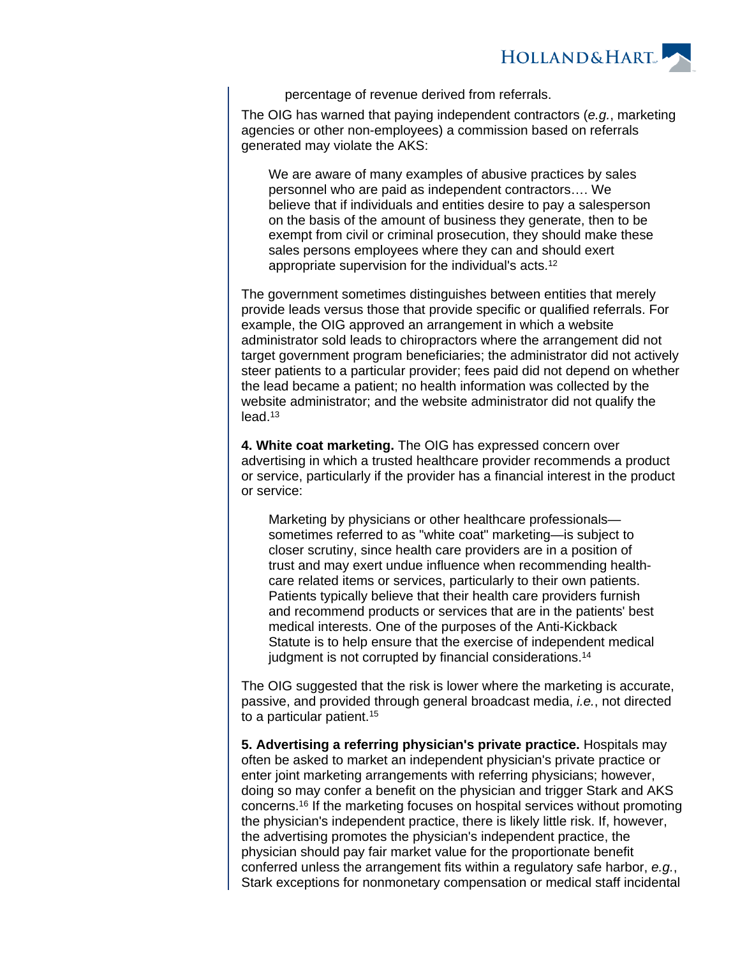

percentage of revenue derived from referrals.

The OIG has warned that paying independent contractors (e.g., marketing agencies or other non-employees) a commission based on referrals generated may violate the AKS:

We are aware of many examples of abusive practices by sales personnel who are paid as independent contractors…. We believe that if individuals and entities desire to pay a salesperson on the basis of the amount of business they generate, then to be exempt from civil or criminal prosecution, they should make these sales persons employees where they can and should exert appropriate supervision for the individual's acts.<sup>12</sup>

The government sometimes distinguishes between entities that merely provide leads versus those that provide specific or qualified referrals. For example, the OIG approved an arrangement in which a website administrator sold leads to chiropractors where the arrangement did not target government program beneficiaries; the administrator did not actively steer patients to a particular provider; fees paid did not depend on whether the lead became a patient; no health information was collected by the website administrator; and the website administrator did not qualify the lead.<sup>13</sup>

**4. White coat marketing.** The OIG has expressed concern over advertising in which a trusted healthcare provider recommends a product or service, particularly if the provider has a financial interest in the product or service:

Marketing by physicians or other healthcare professionals sometimes referred to as "white coat" marketing—is subject to closer scrutiny, since health care providers are in a position of trust and may exert undue influence when recommending healthcare related items or services, particularly to their own patients. Patients typically believe that their health care providers furnish and recommend products or services that are in the patients' best medical interests. One of the purposes of the Anti-Kickback Statute is to help ensure that the exercise of independent medical judgment is not corrupted by financial considerations.<sup>14</sup>

The OIG suggested that the risk is lower where the marketing is accurate, passive, and provided through general broadcast media, i.e., not directed to a particular patient.<sup>15</sup>

**5. Advertising a referring physician's private practice.** Hospitals may often be asked to market an independent physician's private practice or enter joint marketing arrangements with referring physicians; however, doing so may confer a benefit on the physician and trigger Stark and AKS concerns.<sup>16</sup> If the marketing focuses on hospital services without promoting the physician's independent practice, there is likely little risk. If, however, the advertising promotes the physician's independent practice, the physician should pay fair market value for the proportionate benefit conferred unless the arrangement fits within a regulatory safe harbor, e.g., Stark exceptions for nonmonetary compensation or medical staff incidental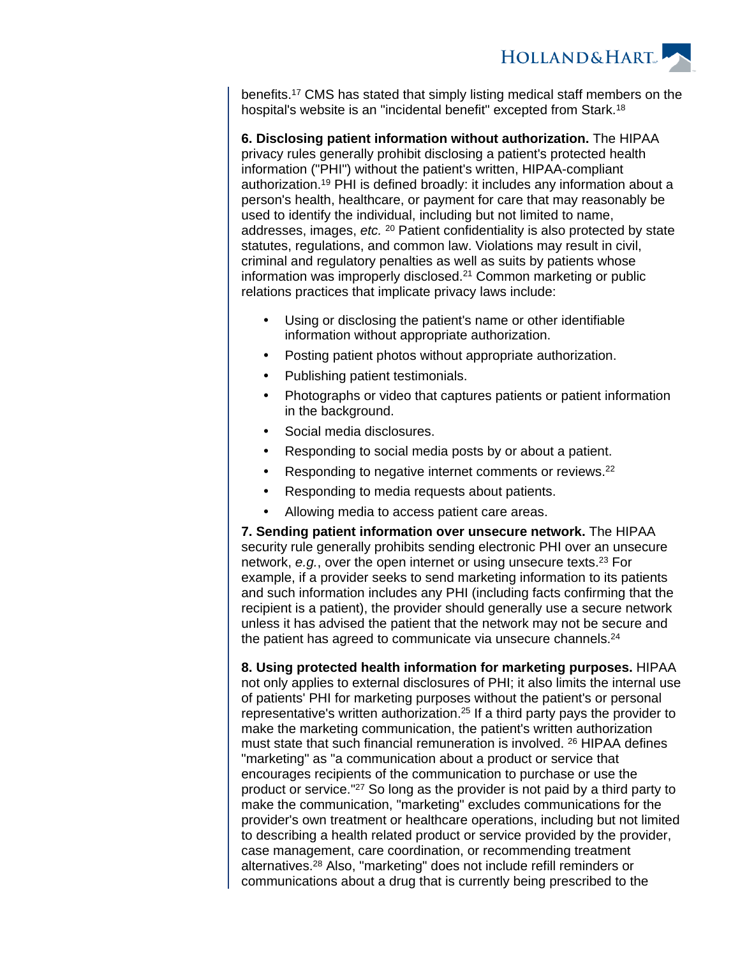**HOLLAND&HART** 

benefits.<sup>17</sup> CMS has stated that simply listing medical staff members on the hospital's website is an "incidental benefit" excepted from Stark.<sup>18</sup>

**6. Disclosing patient information without authorization.** The HIPAA privacy rules generally prohibit disclosing a patient's protected health information ("PHI") without the patient's written, HIPAA-compliant authorization.<sup>19</sup> PHI is defined broadly: it includes any information about a person's health, healthcare, or payment for care that may reasonably be used to identify the individual, including but not limited to name, addresses, images, etc. <sup>20</sup> Patient confidentiality is also protected by state statutes, regulations, and common law. Violations may result in civil, criminal and regulatory penalties as well as suits by patients whose information was improperly disclosed.<sup>21</sup> Common marketing or public relations practices that implicate privacy laws include:

- Using or disclosing the patient's name or other identifiable information without appropriate authorization.
- Posting patient photos without appropriate authorization.
- Publishing patient testimonials.
- Photographs or video that captures patients or patient information in the background.
- Social media disclosures.
- Responding to social media posts by or about a patient.
- Responding to negative internet comments or reviews.<sup>22</sup>
- Responding to media requests about patients.
- Allowing media to access patient care areas.

**7. Sending patient information over unsecure network.** The HIPAA security rule generally prohibits sending electronic PHI over an unsecure network, e.g., over the open internet or using unsecure texts.<sup>23</sup> For example, if a provider seeks to send marketing information to its patients and such information includes any PHI (including facts confirming that the recipient is a patient), the provider should generally use a secure network unless it has advised the patient that the network may not be secure and the patient has agreed to communicate via unsecure channels.<sup>24</sup>

**8. Using protected health information for marketing purposes.** HIPAA not only applies to external disclosures of PHI; it also limits the internal use of patients' PHI for marketing purposes without the patient's or personal representative's written authorization.<sup>25</sup> If a third party pays the provider to make the marketing communication, the patient's written authorization must state that such financial remuneration is involved. <sup>26</sup> HIPAA defines "marketing" as "a communication about a product or service that encourages recipients of the communication to purchase or use the product or service."<sup>27</sup> So long as the provider is not paid by a third party to make the communication, "marketing" excludes communications for the provider's own treatment or healthcare operations, including but not limited to describing a health related product or service provided by the provider, case management, care coordination, or recommending treatment alternatives.<sup>28</sup> Also, "marketing" does not include refill reminders or communications about a drug that is currently being prescribed to the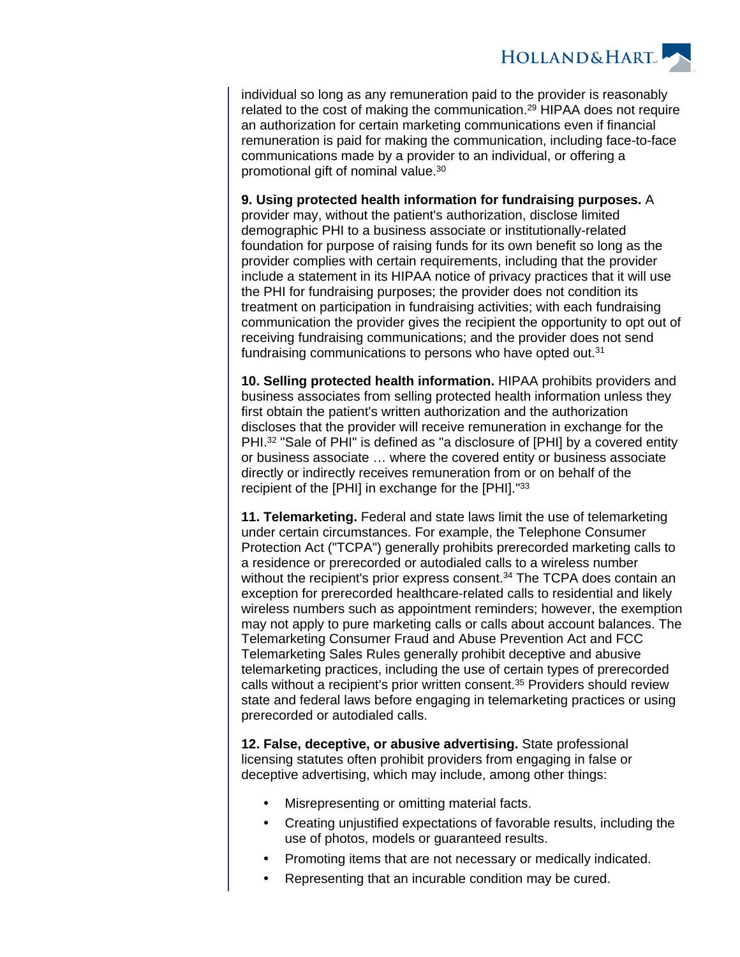

individual so long as any remuneration paid to the provider is reasonably related to the cost of making the communication.<sup>29</sup> HIPAA does not require an authorization for certain marketing communications even if financial remuneration is paid for making the communication, including face-to-face communications made by a provider to an individual, or offering a promotional gift of nominal value.<sup>30</sup>

**9. Using protected health information for fundraising purposes.** A provider may, without the patient's authorization, disclose limited demographic PHI to a business associate or institutionally-related foundation for purpose of raising funds for its own benefit so long as the provider complies with certain requirements, including that the provider include a statement in its HIPAA notice of privacy practices that it will use the PHI for fundraising purposes; the provider does not condition its treatment on participation in fundraising activities; with each fundraising communication the provider gives the recipient the opportunity to opt out of receiving fundraising communications; and the provider does not send fundraising communications to persons who have opted out.<sup>31</sup>

**10. Selling protected health information.** HIPAA prohibits providers and business associates from selling protected health information unless they first obtain the patient's written authorization and the authorization discloses that the provider will receive remuneration in exchange for the PHI.<sup>32</sup> "Sale of PHI" is defined as "a disclosure of [PHI] by a covered entity or business associate … where the covered entity or business associate directly or indirectly receives remuneration from or on behalf of the recipient of the [PHI] in exchange for the [PHI]."33

**11. Telemarketing.** Federal and state laws limit the use of telemarketing under certain circumstances. For example, the Telephone Consumer Protection Act ("TCPA") generally prohibits prerecorded marketing calls to a residence or prerecorded or autodialed calls to a wireless number without the recipient's prior express consent.<sup>34</sup> The TCPA does contain an exception for prerecorded healthcare-related calls to residential and likely wireless numbers such as appointment reminders; however, the exemption may not apply to pure marketing calls or calls about account balances. The Telemarketing Consumer Fraud and Abuse Prevention Act and FCC Telemarketing Sales Rules generally prohibit deceptive and abusive telemarketing practices, including the use of certain types of prerecorded calls without a recipient's prior written consent.<sup>35</sup> Providers should review state and federal laws before engaging in telemarketing practices or using prerecorded or autodialed calls.

**12. False, deceptive, or abusive advertising.** State professional licensing statutes often prohibit providers from engaging in false or deceptive advertising, which may include, among other things:

- Misrepresenting or omitting material facts.
- Creating unjustified expectations of favorable results, including the use of photos, models or guaranteed results.
- Promoting items that are not necessary or medically indicated.
- Representing that an incurable condition may be cured.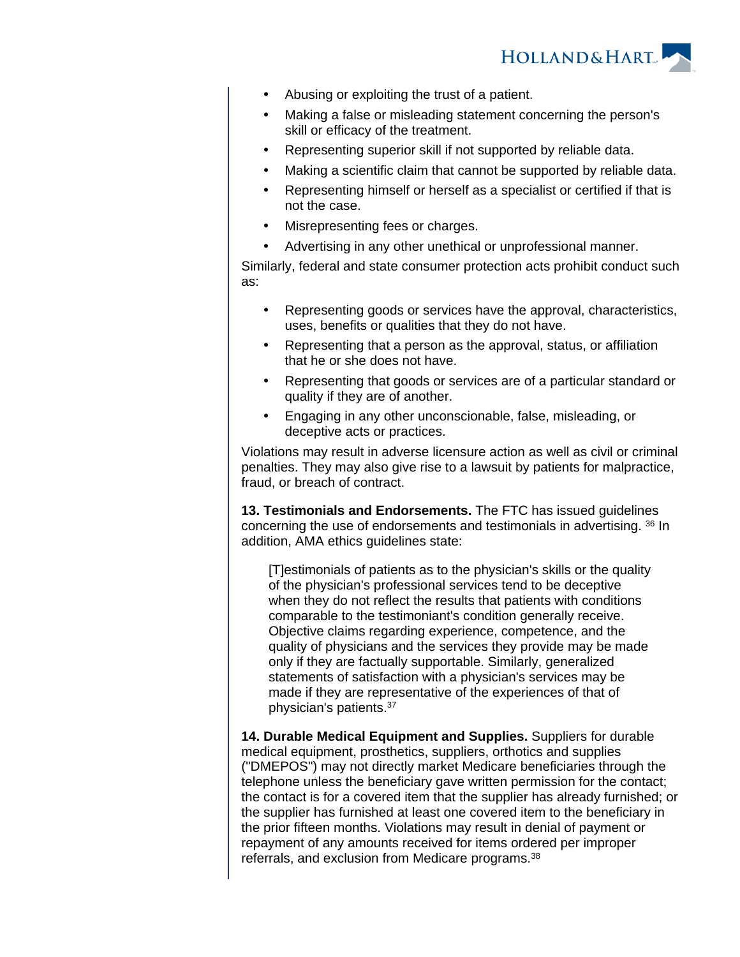

- Abusing or exploiting the trust of a patient.
- Making a false or misleading statement concerning the person's skill or efficacy of the treatment.
- Representing superior skill if not supported by reliable data.
- Making a scientific claim that cannot be supported by reliable data.
- Representing himself or herself as a specialist or certified if that is not the case.
- Misrepresenting fees or charges.
- Advertising in any other unethical or unprofessional manner.

Similarly, federal and state consumer protection acts prohibit conduct such as:

- Representing goods or services have the approval, characteristics, uses, benefits or qualities that they do not have.
- Representing that a person as the approval, status, or affiliation that he or she does not have.
- Representing that goods or services are of a particular standard or quality if they are of another.
- Engaging in any other unconscionable, false, misleading, or deceptive acts or practices.

Violations may result in adverse licensure action as well as civil or criminal penalties. They may also give rise to a lawsuit by patients for malpractice, fraud, or breach of contract.

**13. Testimonials and Endorsements.** The FTC has issued guidelines concerning the use of endorsements and testimonials in advertising. <sup>36</sup> In addition, AMA ethics guidelines state:

[T]estimonials of patients as to the physician's skills or the quality of the physician's professional services tend to be deceptive when they do not reflect the results that patients with conditions comparable to the testimoniant's condition generally receive. Objective claims regarding experience, competence, and the quality of physicians and the services they provide may be made only if they are factually supportable. Similarly, generalized statements of satisfaction with a physician's services may be made if they are representative of the experiences of that of physician's patients.<sup>37</sup>

**14. Durable Medical Equipment and Supplies.** Suppliers for durable medical equipment, prosthetics, suppliers, orthotics and supplies ("DMEPOS") may not directly market Medicare beneficiaries through the telephone unless the beneficiary gave written permission for the contact; the contact is for a covered item that the supplier has already furnished; or the supplier has furnished at least one covered item to the beneficiary in the prior fifteen months. Violations may result in denial of payment or repayment of any amounts received for items ordered per improper referrals, and exclusion from Medicare programs.38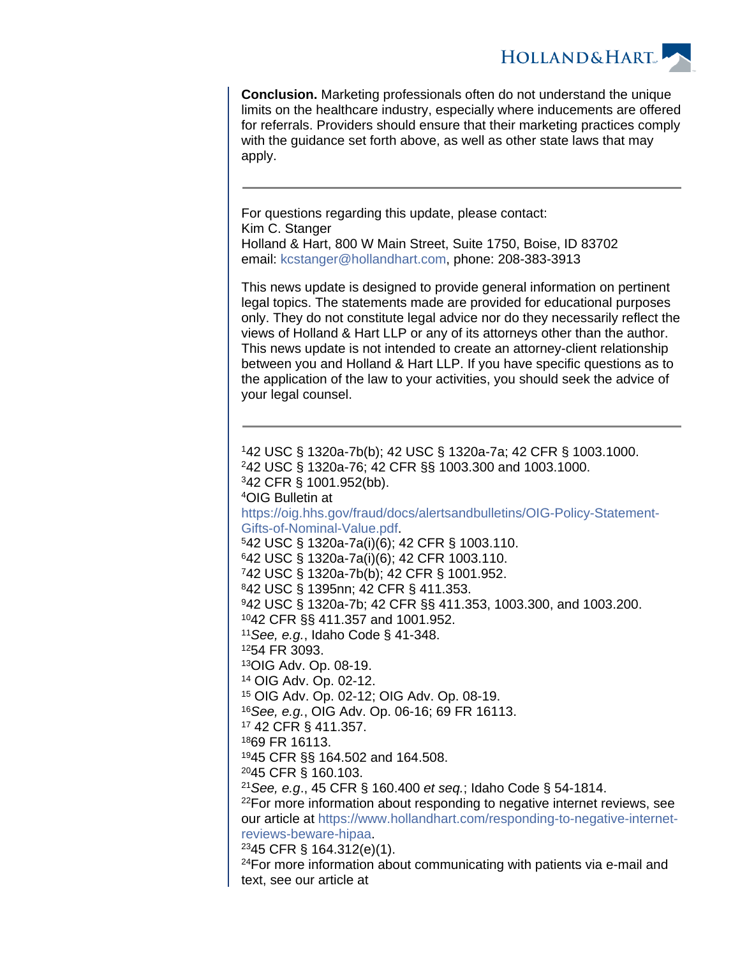

**Conclusion.** Marketing professionals often do not understand the unique limits on the healthcare industry, especially where inducements are offered for referrals. Providers should ensure that their marketing practices comply with the guidance set forth above, as well as other state laws that may apply.

For questions regarding this update, please contact: Kim C. Stanger Holland & Hart, 800 W Main Street, Suite 1750, Boise, ID 83702 email: [kcstanger@hollandhart.com](mailto:kcstanger@hollandhart.com), phone: 208-383-3913

This news update is designed to provide general information on pertinent legal topics. The statements made are provided for educational purposes only. They do not constitute legal advice nor do they necessarily reflect the views of Holland & Hart LLP or any of its attorneys other than the author. This news update is not intended to create an attorney-client relationship between you and Holland & Hart LLP. If you have specific questions as to the application of the law to your activities, you should seek the advice of your legal counsel.

42 USC § 1320a-7b(b); 42 USC § 1320a-7a; 42 CFR § 1003.1000. 42 USC § 1320a-76; 42 CFR §§ 1003.300 and 1003.1000. 42 CFR § 1001.952(bb). OIG Bulletin at [https://oig.hhs.gov/fraud/docs/alertsandbulletins/OIG-Policy-Statement-](https://oig.hhs.gov/fraud/docs/alertsandbulletins/OIG-Policy-Statement-Gifts-of-Nominal-Value.pdf)[Gifts-of-Nominal-Value.pdf](https://oig.hhs.gov/fraud/docs/alertsandbulletins/OIG-Policy-Statement-Gifts-of-Nominal-Value.pdf). 42 USC § 1320a-7a(i)(6); 42 CFR § 1003.110. 42 USC § 1320a-7a(i)(6); 42 CFR 1003.110. 42 USC § 1320a-7b(b); 42 CFR § 1001.952. 42 USC § 1395nn; 42 CFR § 411.353. 42 USC § 1320a-7b; 42 CFR §§ 411.353, 1003.300, and 1003.200. 42 CFR §§ 411.357 and 1001.952. <sup>11</sup> See, e.g., Idaho Code § 41-348. 54 FR 3093. OIG Adv. Op. 08-19. OIG Adv. Op. 02-12. OIG Adv. Op. 02-12; OIG Adv. Op. 08-19. See, e.g., OIG Adv. Op. 06-16; 69 FR 16113. 42 CFR § 411.357. 69 FR 16113. 45 CFR §§ 164.502 and 164.508. 45 CFR § 160.103. <sup>21</sup> See, e.g., 45 CFR § 160.400 et seq.; Idaho Code § 54-1814. <sup>22</sup>For more information about responding to negative internet reviews, see our article at [https://www.hollandhart.com/responding-to-negative-internet](https://www.hollandhart.com/responding-to-negative-internet-reviews-beware-hipaa)[reviews-beware-hipaa](https://www.hollandhart.com/responding-to-negative-internet-reviews-beware-hipaa). 45 CFR § 164.312(e)(1). For more information about communicating with patients via e-mail and text, see our article at